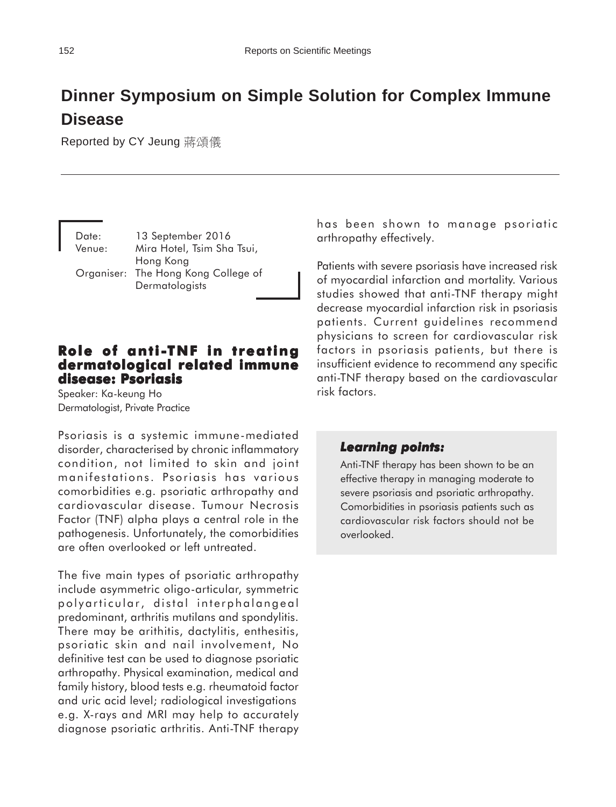# **Dinner Symposium on Simple Solution for Complex Immune Disease**

Reported by CY Jeung 蔣頌儀

Date: 13 September 2016 Venue: Mira Hotel, Tsim Sha Tsui, Hong Kong Organiser: The Hong Kong College of **Dermatologists** 

### **Role of anti-TNF in treating dermatological related immune disease: Psoriasis**

Speaker: Ka-keung Ho Dermatologist, Private Practice

Psoriasis is a systemic immune-mediated disorder, characterised by chronic inflammatory condition, not limited to skin and joint manifestations. Psoriasis has various comorbidities e.g. psoriatic arthropathy and cardiovascular disease. Tumour Necrosis Factor (TNF) alpha plays a central role in the pathogenesis. Unfortunately, the comorbidities are often overlooked or left untreated.

The five main types of psoriatic arthropathy include asymmetric oligo-articular, symmetric polyarticular, distal interphalangeal predominant, arthritis mutilans and spondylitis. There may be arithitis, dactylitis, enthesitis, psoriatic skin and nail involvement, No definitive test can be used to diagnose psoriatic arthropathy. Physical examination, medical and family history, blood tests e.g. rheumatoid factor and uric acid level; radiological investigations e.g. X-rays and MRI may help to accurately diagnose psoriatic arthritis. Anti-TNF therapy has been shown to manage psoriatic arthropathy effectively.

Patients with severe psoriasis have increased risk of myocardial infarction and mortality. Various studies showed that anti-TNF therapy might decrease myocardial infarction risk in psoriasis patients. Current guidelines recommend physicians to screen for cardiovascular risk factors in psoriasis patients, but there is insufficient evidence to recommend any specific anti-TNF therapy based on the cardiovascular risk factors.

#### *Learning points:*

Anti-TNF therapy has been shown to be an effective therapy in managing moderate to severe psoriasis and psoriatic arthropathy. Comorbidities in psoriasis patients such as cardiovascular risk factors should not be overlooked.